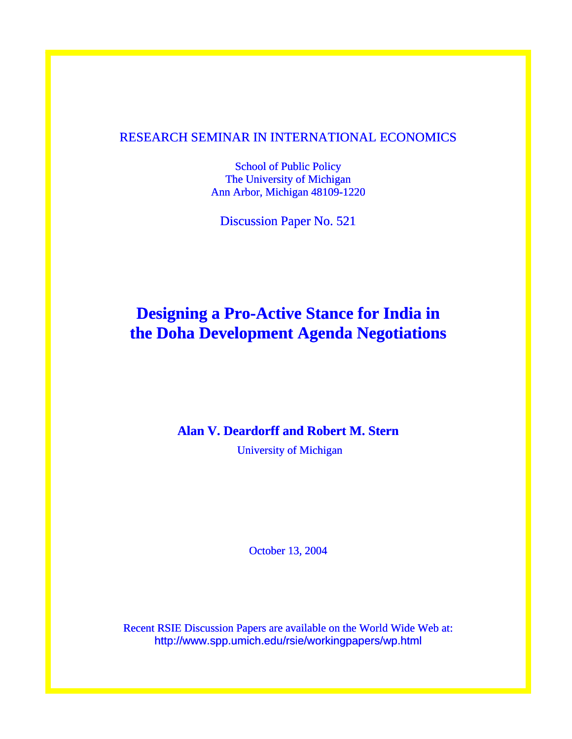# RESEARCH SEMINAR IN INTERNATIONAL ECONOMICS

School of Public Policy The University of Michigan Ann Arbor, Michigan 48109-1220

Discussion Paper No. 521

# **Designing a Pro-Active Stance for India in the Doha Development Agenda Negotiations**

# **Alan V. Deardorff and Robert M. Stern**

University of Michigan

October 13, 2004

Recent RSIE Discussion Papers are available on the World Wide Web at: http://www.spp.umich.edu/rsie/workingpapers/wp.html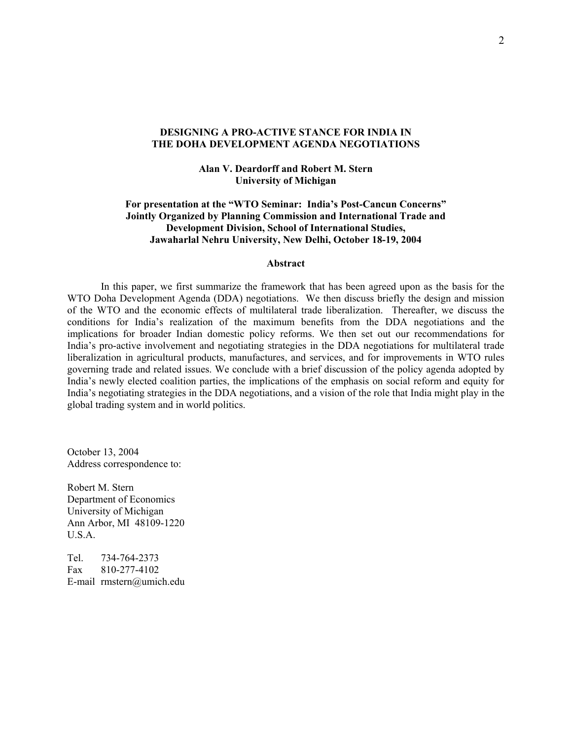### **DESIGNING A PRO-ACTIVE STANCE FOR INDIA IN THE DOHA DEVELOPMENT AGENDA NEGOTIATIONS**

# **Alan V. Deardorff and Robert M. Stern University of Michigan**

# **For presentation at the "WTO Seminar: India's Post-Cancun Concerns" Jointly Organized by Planning Commission and International Trade and Development Division, School of International Studies, Jawaharlal Nehru University, New Delhi, October 18-19, 2004**

#### **Abstract**

In this paper, we first summarize the framework that has been agreed upon as the basis for the WTO Doha Development Agenda (DDA) negotiations. We then discuss briefly the design and mission of the WTO and the economic effects of multilateral trade liberalization. Thereafter, we discuss the conditions for India's realization of the maximum benefits from the DDA negotiations and the implications for broader Indian domestic policy reforms. We then set out our recommendations for India's pro-active involvement and negotiating strategies in the DDA negotiations for multilateral trade liberalization in agricultural products, manufactures, and services, and for improvements in WTO rules governing trade and related issues. We conclude with a brief discussion of the policy agenda adopted by India's newly elected coalition parties, the implications of the emphasis on social reform and equity for India's negotiating strategies in the DDA negotiations, and a vision of the role that India might play in the global trading system and in world politics.

October 13, 2004 Address correspondence to:

Robert M. Stern Department of Economics University of Michigan Ann Arbor, MI 48109-1220 U.S.A.

Tel. 734-764-2373 Fax 810-277-4102 E-mail rmstern@umich.edu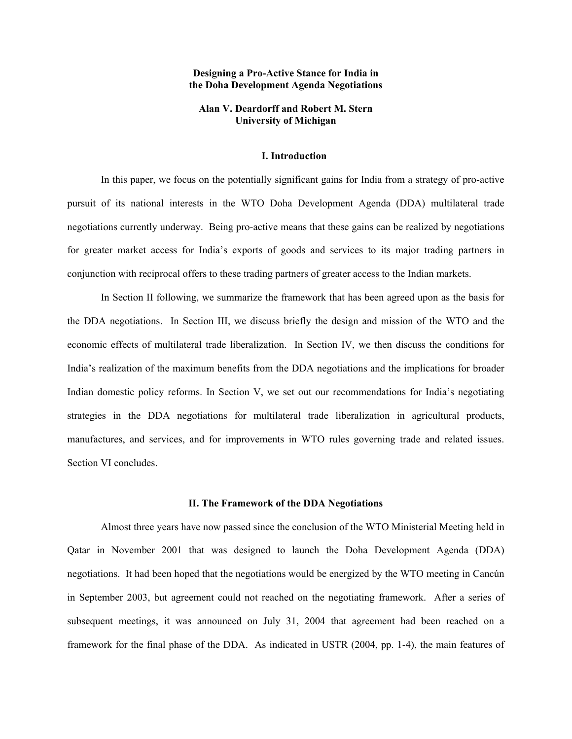#### **Designing a Pro-Active Stance for India in the Doha Development Agenda Negotiations**

### **Alan V. Deardorff and Robert M. Stern University of Michigan**

#### **I. Introduction**

In this paper, we focus on the potentially significant gains for India from a strategy of pro-active pursuit of its national interests in the WTO Doha Development Agenda (DDA) multilateral trade negotiations currently underway. Being pro-active means that these gains can be realized by negotiations for greater market access for India's exports of goods and services to its major trading partners in conjunction with reciprocal offers to these trading partners of greater access to the Indian markets.

In Section II following, we summarize the framework that has been agreed upon as the basis for the DDA negotiations. In Section III, we discuss briefly the design and mission of the WTO and the economic effects of multilateral trade liberalization. In Section IV, we then discuss the conditions for India's realization of the maximum benefits from the DDA negotiations and the implications for broader Indian domestic policy reforms. In Section V, we set out our recommendations for India's negotiating strategies in the DDA negotiations for multilateral trade liberalization in agricultural products, manufactures, and services, and for improvements in WTO rules governing trade and related issues. Section VI concludes.

#### **II. The Framework of the DDA Negotiations**

Almost three years have now passed since the conclusion of the WTO Ministerial Meeting held in Qatar in November 2001 that was designed to launch the Doha Development Agenda (DDA) negotiations. It had been hoped that the negotiations would be energized by the WTO meeting in Cancún in September 2003, but agreement could not reached on the negotiating framework. After a series of subsequent meetings, it was announced on July 31, 2004 that agreement had been reached on a framework for the final phase of the DDA. As indicated in USTR (2004, pp. 1-4), the main features of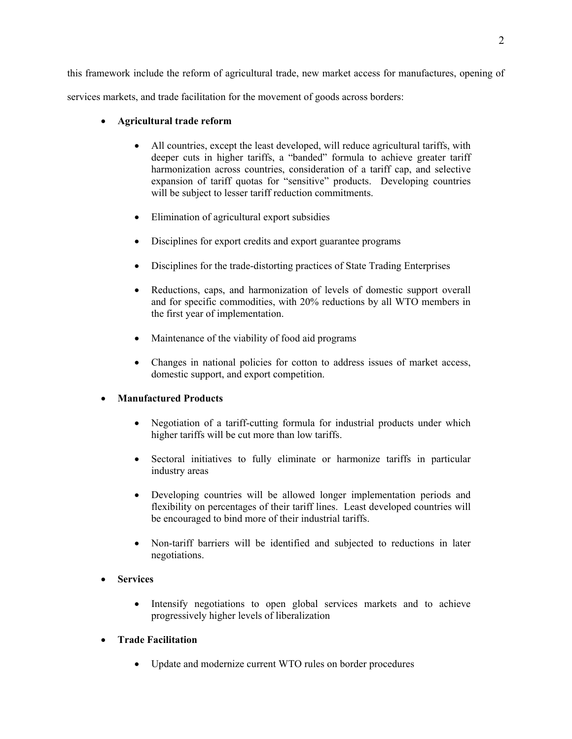this framework include the reform of agricultural trade, new market access for manufactures, opening of services markets, and trade facilitation for the movement of goods across borders:

# • **Agricultural trade reform**

- All countries, except the least developed, will reduce agricultural tariffs, with deeper cuts in higher tariffs, a "banded" formula to achieve greater tariff harmonization across countries, consideration of a tariff cap, and selective expansion of tariff quotas for "sensitive" products. Developing countries will be subject to lesser tariff reduction commitments.
- Elimination of agricultural export subsidies
- Disciplines for export credits and export guarantee programs
- Disciplines for the trade-distorting practices of State Trading Enterprises
- Reductions, caps, and harmonization of levels of domestic support overall and for specific commodities, with 20% reductions by all WTO members in the first year of implementation.
- Maintenance of the viability of food aid programs
- Changes in national policies for cotton to address issues of market access, domestic support, and export competition.

# • **Manufactured Products**

- Negotiation of a tariff-cutting formula for industrial products under which higher tariffs will be cut more than low tariffs.
- Sectoral initiatives to fully eliminate or harmonize tariffs in particular industry areas
- Developing countries will be allowed longer implementation periods and flexibility on percentages of their tariff lines. Least developed countries will be encouraged to bind more of their industrial tariffs.
- Non-tariff barriers will be identified and subjected to reductions in later negotiations.

# • **Services**

• Intensify negotiations to open global services markets and to achieve progressively higher levels of liberalization

# • **Trade Facilitation**

• Update and modernize current WTO rules on border procedures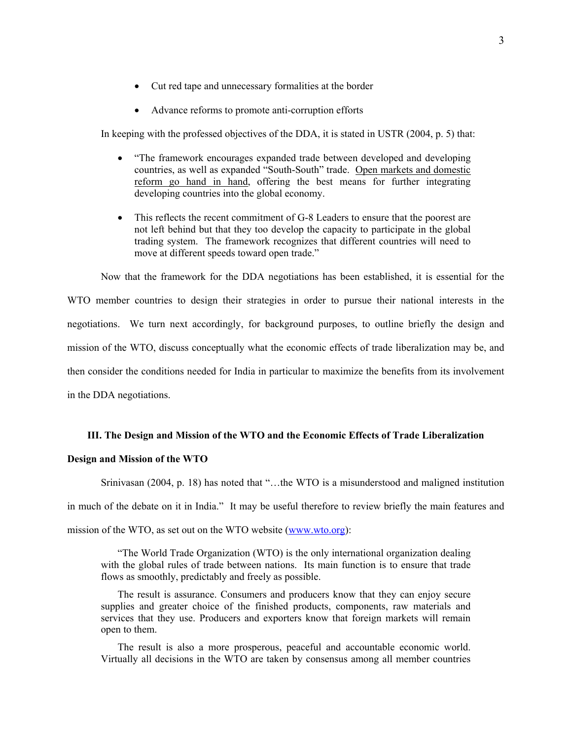- Cut red tape and unnecessary formalities at the border
- Advance reforms to promote anti-corruption efforts

In keeping with the professed objectives of the DDA, it is stated in USTR (2004, p. 5) that:

- "The framework encourages expanded trade between developed and developing countries, as well as expanded "South-South" trade. Open markets and domestic reform go hand in hand, offering the best means for further integrating developing countries into the global economy.
- This reflects the recent commitment of G-8 Leaders to ensure that the poorest are not left behind but that they too develop the capacity to participate in the global trading system. The framework recognizes that different countries will need to move at different speeds toward open trade."

Now that the framework for the DDA negotiations has been established, it is essential for the WTO member countries to design their strategies in order to pursue their national interests in the negotiations. We turn next accordingly, for background purposes, to outline briefly the design and mission of the WTO, discuss conceptually what the economic effects of trade liberalization may be, and then consider the conditions needed for India in particular to maximize the benefits from its involvement in the DDA negotiations.

# **III. The Design and Mission of the WTO and the Economic Effects of Trade Liberalization**

### **Design and Mission of the WTO**

Srinivasan (2004, p. 18) has noted that "…the WTO is a misunderstood and maligned institution in much of the debate on it in India." It may be useful therefore to review briefly the main features and mission of the WTO, as set out on the WTO website [\(www.wto.org\)](http://www.wto.org/):

"The World Trade Organization (WTO) is the only international organization dealing with the global rules of trade between nations. Its main function is to ensure that trade flows as smoothly, predictably and freely as possible.

The result is assurance. Consumers and producers know that they can enjoy secure supplies and greater choice of the finished products, components, raw materials and services that they use. Producers and exporters know that foreign markets will remain open to them.

The result is also a more prosperous, peaceful and accountable economic world. Virtually all decisions in the WTO are taken by consensus among all member countries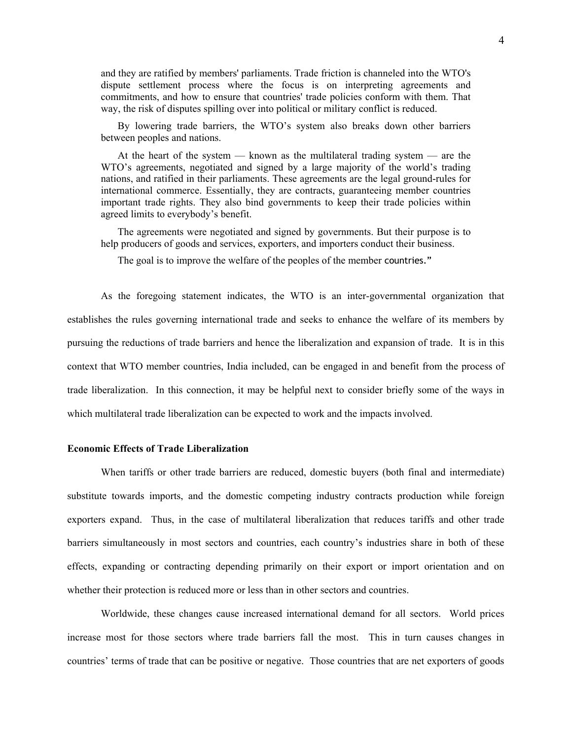and they are ratified by members' parliaments. Trade friction is channeled into the WTO's dispute settlement process where the focus is on interpreting agreements and commitments, and how to ensure that countries' trade policies conform with them. That way, the risk of disputes spilling over into political or military conflict is reduced.

By lowering trade barriers, the WTO's system also breaks down other barriers between peoples and nations.

At the heart of the system — known as the multilateral trading system — are the WTO's agreements, negotiated and signed by a large majority of the world's trading nations, and ratified in their parliaments. These agreements are the legal ground-rules for international commerce. Essentially, they are contracts, guaranteeing member countries important trade rights. They also bind governments to keep their trade policies within agreed limits to everybody's benefit.

The agreements were negotiated and signed by governments. But their purpose is to help producers of goods and services, exporters, and importers conduct their business.

The goal is to improve the welfare of the peoples of the member countries."

As the foregoing statement indicates, the WTO is an inter-governmental organization that establishes the rules governing international trade and seeks to enhance the welfare of its members by pursuing the reductions of trade barriers and hence the liberalization and expansion of trade. It is in this context that WTO member countries, India included, can be engaged in and benefit from the process of trade liberalization. In this connection, it may be helpful next to consider briefly some of the ways in which multilateral trade liberalization can be expected to work and the impacts involved.

#### **Economic Effects of Trade Liberalization**

When tariffs or other trade barriers are reduced, domestic buyers (both final and intermediate) substitute towards imports, and the domestic competing industry contracts production while foreign exporters expand. Thus, in the case of multilateral liberalization that reduces tariffs and other trade barriers simultaneously in most sectors and countries, each country's industries share in both of these effects, expanding or contracting depending primarily on their export or import orientation and on whether their protection is reduced more or less than in other sectors and countries.

Worldwide, these changes cause increased international demand for all sectors. World prices increase most for those sectors where trade barriers fall the most. This in turn causes changes in countries' terms of trade that can be positive or negative. Those countries that are net exporters of goods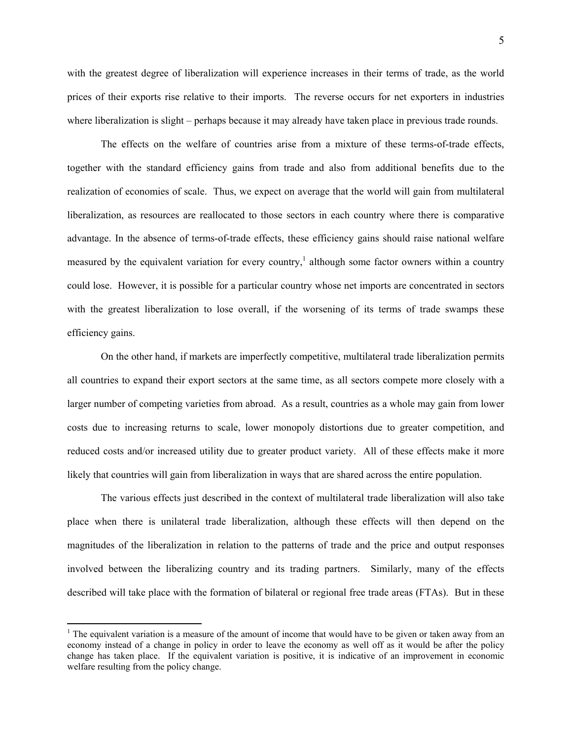5

with the greatest degree of liberalization will experience increases in their terms of trade, as the world prices of their exports rise relative to their imports. The reverse occurs for net exporters in industries where liberalization is slight – perhaps because it may already have taken place in previous trade rounds.

The effects on the welfare of countries arise from a mixture of these terms-of-trade effects, together with the standard efficiency gains from trade and also from additional benefits due to the realization of economies of scale. Thus, we expect on average that the world will gain from multilateral liberalization, as resources are reallocated to those sectors in each country where there is comparative advantage. In the absence of terms-of-trade effects, these efficiency gains should raise national welfare measured by the equivalent variation for every country,<sup>1</sup> although some factor owners within a country could lose. However, it is possible for a particular country whose net imports are concentrated in sectors with the greatest liberalization to lose overall, if the worsening of its terms of trade swamps these efficiency gains.

On the other hand, if markets are imperfectly competitive, multilateral trade liberalization permits all countries to expand their export sectors at the same time, as all sectors compete more closely with a larger number of competing varieties from abroad. As a result, countries as a whole may gain from lower costs due to increasing returns to scale, lower monopoly distortions due to greater competition, and reduced costs and/or increased utility due to greater product variety. All of these effects make it more likely that countries will gain from liberalization in ways that are shared across the entire population.

The various effects just described in the context of multilateral trade liberalization will also take place when there is unilateral trade liberalization, although these effects will then depend on the magnitudes of the liberalization in relation to the patterns of trade and the price and output responses involved between the liberalizing country and its trading partners. Similarly, many of the effects described will take place with the formation of bilateral or regional free trade areas (FTAs). But in these

 $\overline{a}$ 

<span id="page-6-0"></span><sup>&</sup>lt;sup>1</sup> The equivalent variation is a measure of the amount of income that would have to be given or taken away from an economy instead of a change in policy in order to leave the economy as well off as it would be after the policy change has taken place. If the equivalent variation is positive, it is indicative of an improvement in economic welfare resulting from the policy change.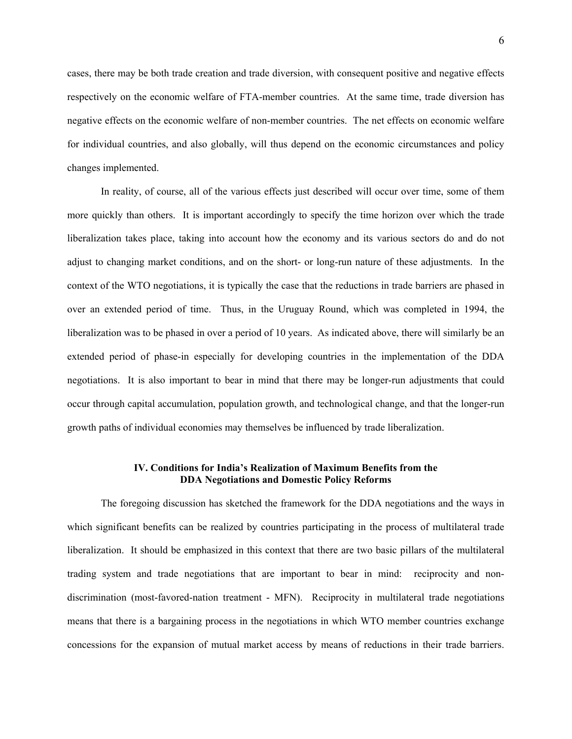cases, there may be both trade creation and trade diversion, with consequent positive and negative effects respectively on the economic welfare of FTA-member countries. At the same time, trade diversion has negative effects on the economic welfare of non-member countries. The net effects on economic welfare for individual countries, and also globally, will thus depend on the economic circumstances and policy changes implemented.

In reality, of course, all of the various effects just described will occur over time, some of them more quickly than others. It is important accordingly to specify the time horizon over which the trade liberalization takes place, taking into account how the economy and its various sectors do and do not adjust to changing market conditions, and on the short- or long-run nature of these adjustments. In the context of the WTO negotiations, it is typically the case that the reductions in trade barriers are phased in over an extended period of time. Thus, in the Uruguay Round, which was completed in 1994, the liberalization was to be phased in over a period of 10 years. As indicated above, there will similarly be an extended period of phase-in especially for developing countries in the implementation of the DDA negotiations. It is also important to bear in mind that there may be longer-run adjustments that could occur through capital accumulation, population growth, and technological change, and that the longer-run growth paths of individual economies may themselves be influenced by trade liberalization.

# **IV. Conditions for India's Realization of Maximum Benefits from the DDA Negotiations and Domestic Policy Reforms**

The foregoing discussion has sketched the framework for the DDA negotiations and the ways in which significant benefits can be realized by countries participating in the process of multilateral trade liberalization. It should be emphasized in this context that there are two basic pillars of the multilateral trading system and trade negotiations that are important to bear in mind: reciprocity and nondiscrimination (most-favored-nation treatment - MFN). Reciprocity in multilateral trade negotiations means that there is a bargaining process in the negotiations in which WTO member countries exchange concessions for the expansion of mutual market access by means of reductions in their trade barriers.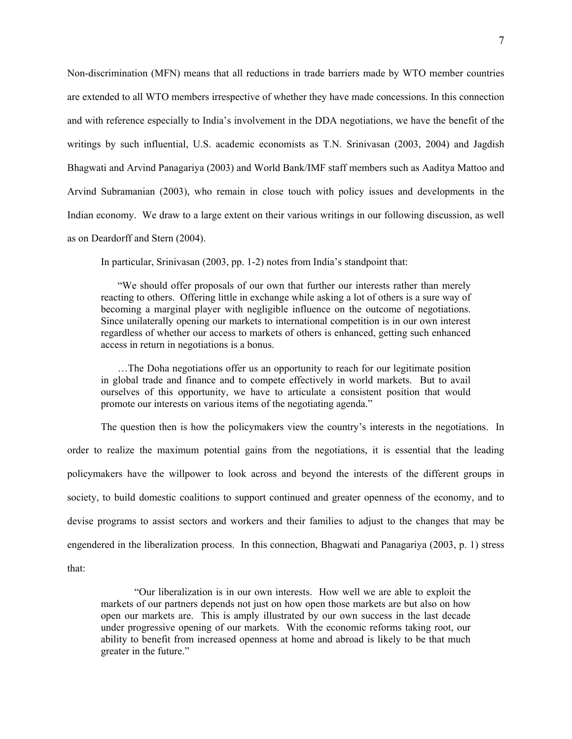Non-discrimination (MFN) means that all reductions in trade barriers made by WTO member countries are extended to all WTO members irrespective of whether they have made concessions. In this connection and with reference especially to India's involvement in the DDA negotiations, we have the benefit of the writings by such influential, U.S. academic economists as T.N. Srinivasan (2003, 2004) and Jagdish Bhagwati and Arvind Panagariya (2003) and World Bank/IMF staff members such as Aaditya Mattoo and Arvind Subramanian (2003), who remain in close touch with policy issues and developments in the Indian economy. We draw to a large extent on their various writings in our following discussion, as well as on Deardorff and Stern (2004).

In particular, Srinivasan (2003, pp. 1-2) notes from India's standpoint that:

"We should offer proposals of our own that further our interests rather than merely reacting to others. Offering little in exchange while asking a lot of others is a sure way of becoming a marginal player with negligible influence on the outcome of negotiations. Since unilaterally opening our markets to international competition is in our own interest regardless of whether our access to markets of others is enhanced, getting such enhanced access in return in negotiations is a bonus.

…The Doha negotiations offer us an opportunity to reach for our legitimate position in global trade and finance and to compete effectively in world markets. But to avail ourselves of this opportunity, we have to articulate a consistent position that would promote our interests on various items of the negotiating agenda."

The question then is how the policymakers view the country's interests in the negotiations. In order to realize the maximum potential gains from the negotiations, it is essential that the leading policymakers have the willpower to look across and beyond the interests of the different groups in society, to build domestic coalitions to support continued and greater openness of the economy, and to devise programs to assist sectors and workers and their families to adjust to the changes that may be engendered in the liberalization process. In this connection, Bhagwati and Panagariya (2003, p. 1) stress that:

"Our liberalization is in our own interests. How well we are able to exploit the markets of our partners depends not just on how open those markets are but also on how open our markets are. This is amply illustrated by our own success in the last decade under progressive opening of our markets. With the economic reforms taking root, our ability to benefit from increased openness at home and abroad is likely to be that much greater in the future."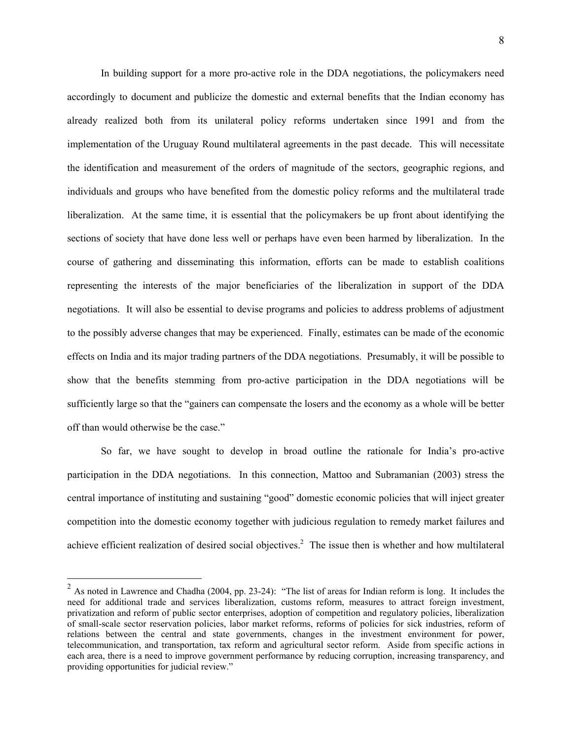In building support for a more pro-active role in the DDA negotiations, the policymakers need accordingly to document and publicize the domestic and external benefits that the Indian economy has already realized both from its unilateral policy reforms undertaken since 1991 and from the implementation of the Uruguay Round multilateral agreements in the past decade. This will necessitate the identification and measurement of the orders of magnitude of the sectors, geographic regions, and individuals and groups who have benefited from the domestic policy reforms and the multilateral trade liberalization. At the same time, it is essential that the policymakers be up front about identifying the sections of society that have done less well or perhaps have even been harmed by liberalization. In the course of gathering and disseminating this information, efforts can be made to establish coalitions representing the interests of the major beneficiaries of the liberalization in support of the DDA negotiations. It will also be essential to devise programs and policies to address problems of adjustment to the possibly adverse changes that may be experienced. Finally, estimates can be made of the economic effects on India and its major trading partners of the DDA negotiations. Presumably, it will be possible to show that the benefits stemming from pro-active participation in the DDA negotiations will be sufficiently large so that the "gainers can compensate the losers and the economy as a whole will be better off than would otherwise be the case."

So far, we have sought to develop in broad outline the rationale for India's pro-active participation in the DDA negotiations. In this connection, Mattoo and Subramanian (2003) stress the central importance of instituting and sustaining "good" domestic economic policies that will inject greater competition into the domestic economy together with judicious regulation to remedy market failures and achieve efficient realization of desired social objectives.<sup>[2](#page-9-0)</sup> The issue then is whether and how multilateral

 $\overline{a}$ 

<span id="page-9-0"></span> $2$  As noted in Lawrence and Chadha (2004, pp. 23-24): "The list of areas for Indian reform is long. It includes the need for additional trade and services liberalization, customs reform, measures to attract foreign investment, privatization and reform of public sector enterprises, adoption of competition and regulatory policies, liberalization of small-scale sector reservation policies, labor market reforms, reforms of policies for sick industries, reform of relations between the central and state governments, changes in the investment environment for power, telecommunication, and transportation, tax reform and agricultural sector reform. Aside from specific actions in each area, there is a need to improve government performance by reducing corruption, increasing transparency, and providing opportunities for judicial review."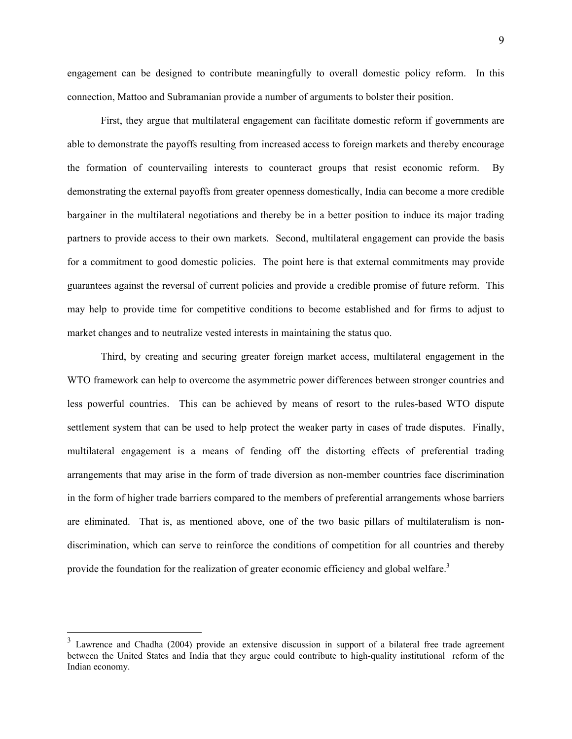engagement can be designed to contribute meaningfully to overall domestic policy reform. In this connection, Mattoo and Subramanian provide a number of arguments to bolster their position.

First, they argue that multilateral engagement can facilitate domestic reform if governments are able to demonstrate the payoffs resulting from increased access to foreign markets and thereby encourage the formation of countervailing interests to counteract groups that resist economic reform. By demonstrating the external payoffs from greater openness domestically, India can become a more credible bargainer in the multilateral negotiations and thereby be in a better position to induce its major trading partners to provide access to their own markets. Second, multilateral engagement can provide the basis for a commitment to good domestic policies. The point here is that external commitments may provide guarantees against the reversal of current policies and provide a credible promise of future reform. This may help to provide time for competitive conditions to become established and for firms to adjust to market changes and to neutralize vested interests in maintaining the status quo.

Third, by creating and securing greater foreign market access, multilateral engagement in the WTO framework can help to overcome the asymmetric power differences between stronger countries and less powerful countries. This can be achieved by means of resort to the rules-based WTO dispute settlement system that can be used to help protect the weaker party in cases of trade disputes. Finally, multilateral engagement is a means of fending off the distorting effects of preferential trading arrangements that may arise in the form of trade diversion as non-member countries face discrimination in the form of higher trade barriers compared to the members of preferential arrangements whose barriers are eliminated. That is, as mentioned above, one of the two basic pillars of multilateralism is nondiscrimination, which can serve to reinforce the conditions of competition for all countries and thereby provide the foundation for the realization of greater economic efficiency and global welfare.<sup>[3](#page-10-0)</sup>

 $\overline{a}$ 

<span id="page-10-0"></span>Lawrence and Chadha (2004) provide an extensive discussion in support of a bilateral free trade agreement between the United States and India that they argue could contribute to high-quality institutional reform of the Indian economy.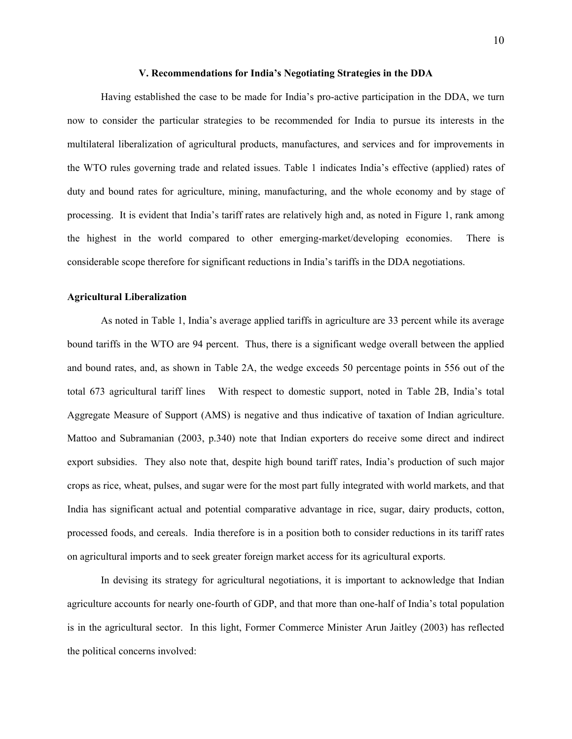#### **V. Recommendations for India's Negotiating Strategies in the DDA**

Having established the case to be made for India's pro-active participation in the DDA, we turn now to consider the particular strategies to be recommended for India to pursue its interests in the multilateral liberalization of agricultural products, manufactures, and services and for improvements in the WTO rules governing trade and related issues. Table 1 indicates India's effective (applied) rates of duty and bound rates for agriculture, mining, manufacturing, and the whole economy and by stage of processing. It is evident that India's tariff rates are relatively high and, as noted in Figure 1, rank among the highest in the world compared to other emerging-market/developing economies. There is considerable scope therefore for significant reductions in India's tariffs in the DDA negotiations.

#### **Agricultural Liberalization**

As noted in Table 1, India's average applied tariffs in agriculture are 33 percent while its average bound tariffs in the WTO are 94 percent. Thus, there is a significant wedge overall between the applied and bound rates, and, as shown in Table 2A, the wedge exceeds 50 percentage points in 556 out of the total 673 agricultural tariff lines With respect to domestic support, noted in Table 2B, India's total Aggregate Measure of Support (AMS) is negative and thus indicative of taxation of Indian agriculture. Mattoo and Subramanian (2003, p.340) note that Indian exporters do receive some direct and indirect export subsidies. They also note that, despite high bound tariff rates, India's production of such major crops as rice, wheat, pulses, and sugar were for the most part fully integrated with world markets, and that India has significant actual and potential comparative advantage in rice, sugar, dairy products, cotton, processed foods, and cereals. India therefore is in a position both to consider reductions in its tariff rates on agricultural imports and to seek greater foreign market access for its agricultural exports.

In devising its strategy for agricultural negotiations, it is important to acknowledge that Indian agriculture accounts for nearly one-fourth of GDP, and that more than one-half of India's total population is in the agricultural sector. In this light, Former Commerce Minister Arun Jaitley (2003) has reflected the political concerns involved: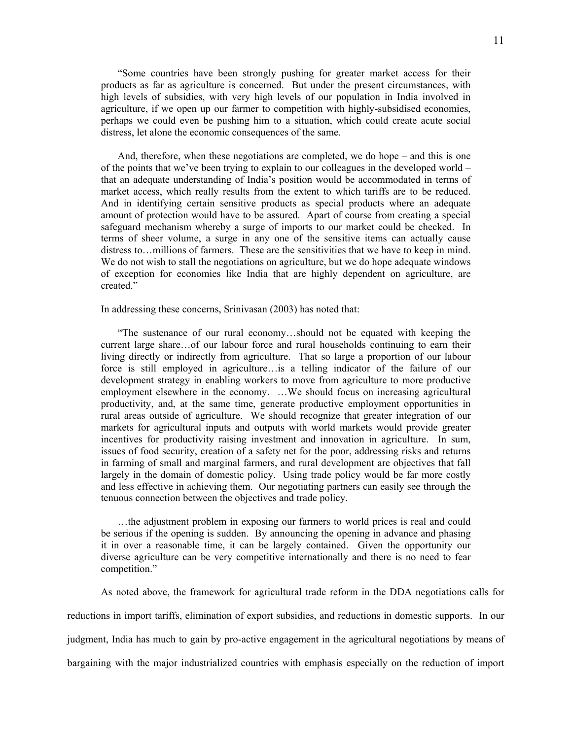"Some countries have been strongly pushing for greater market access for their products as far as agriculture is concerned. But under the present circumstances, with high levels of subsidies, with very high levels of our population in India involved in agriculture, if we open up our farmer to competition with highly-subsidised economies, perhaps we could even be pushing him to a situation, which could create acute social distress, let alone the economic consequences of the same.

And, therefore, when these negotiations are completed, we do hope – and this is one of the points that we've been trying to explain to our colleagues in the developed world – that an adequate understanding of India's position would be accommodated in terms of market access, which really results from the extent to which tariffs are to be reduced. And in identifying certain sensitive products as special products where an adequate amount of protection would have to be assured. Apart of course from creating a special safeguard mechanism whereby a surge of imports to our market could be checked. In terms of sheer volume, a surge in any one of the sensitive items can actually cause distress to…millions of farmers. These are the sensitivities that we have to keep in mind. We do not wish to stall the negotiations on agriculture, but we do hope adequate windows of exception for economies like India that are highly dependent on agriculture, are created."

In addressing these concerns, Srinivasan (2003) has noted that:

"The sustenance of our rural economy…should not be equated with keeping the current large share…of our labour force and rural households continuing to earn their living directly or indirectly from agriculture. That so large a proportion of our labour force is still employed in agriculture…is a telling indicator of the failure of our development strategy in enabling workers to move from agriculture to more productive employment elsewhere in the economy. …We should focus on increasing agricultural productivity, and, at the same time, generate productive employment opportunities in rural areas outside of agriculture. We should recognize that greater integration of our markets for agricultural inputs and outputs with world markets would provide greater incentives for productivity raising investment and innovation in agriculture. In sum, issues of food security, creation of a safety net for the poor, addressing risks and returns in farming of small and marginal farmers, and rural development are objectives that fall largely in the domain of domestic policy. Using trade policy would be far more costly and less effective in achieving them. Our negotiating partners can easily see through the tenuous connection between the objectives and trade policy.

…the adjustment problem in exposing our farmers to world prices is real and could be serious if the opening is sudden. By announcing the opening in advance and phasing it in over a reasonable time, it can be largely contained. Given the opportunity our diverse agriculture can be very competitive internationally and there is no need to fear competition."

As noted above, the framework for agricultural trade reform in the DDA negotiations calls for reductions in import tariffs, elimination of export subsidies, and reductions in domestic supports. In our judgment, India has much to gain by pro-active engagement in the agricultural negotiations by means of bargaining with the major industrialized countries with emphasis especially on the reduction of import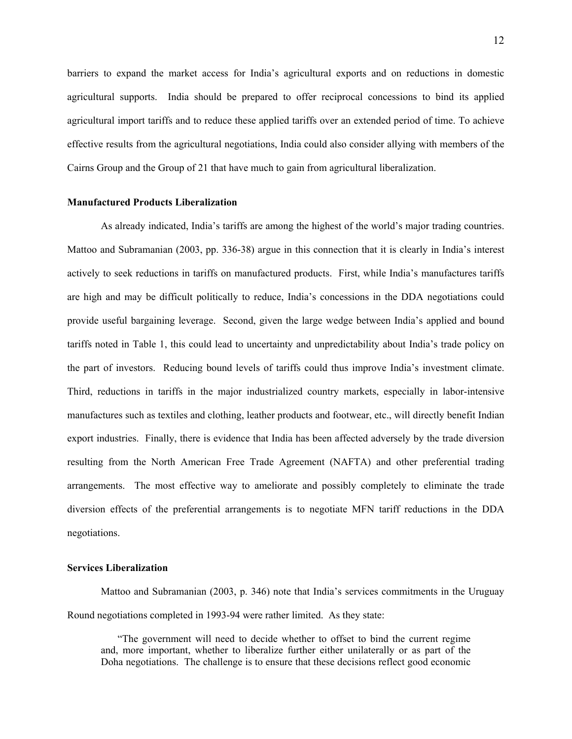barriers to expand the market access for India's agricultural exports and on reductions in domestic agricultural supports. India should be prepared to offer reciprocal concessions to bind its applied agricultural import tariffs and to reduce these applied tariffs over an extended period of time. To achieve effective results from the agricultural negotiations, India could also consider allying with members of the Cairns Group and the Group of 21 that have much to gain from agricultural liberalization.

#### **Manufactured Products Liberalization**

As already indicated, India's tariffs are among the highest of the world's major trading countries. Mattoo and Subramanian (2003, pp. 336-38) argue in this connection that it is clearly in India's interest actively to seek reductions in tariffs on manufactured products. First, while India's manufactures tariffs are high and may be difficult politically to reduce, India's concessions in the DDA negotiations could provide useful bargaining leverage. Second, given the large wedge between India's applied and bound tariffs noted in Table 1, this could lead to uncertainty and unpredictability about India's trade policy on the part of investors. Reducing bound levels of tariffs could thus improve India's investment climate. Third, reductions in tariffs in the major industrialized country markets, especially in labor-intensive manufactures such as textiles and clothing, leather products and footwear, etc., will directly benefit Indian export industries. Finally, there is evidence that India has been affected adversely by the trade diversion resulting from the North American Free Trade Agreement (NAFTA) and other preferential trading arrangements. The most effective way to ameliorate and possibly completely to eliminate the trade diversion effects of the preferential arrangements is to negotiate MFN tariff reductions in the DDA negotiations.

#### **Services Liberalization**

Mattoo and Subramanian (2003, p. 346) note that India's services commitments in the Uruguay Round negotiations completed in 1993-94 were rather limited. As they state:

"The government will need to decide whether to offset to bind the current regime and, more important, whether to liberalize further either unilaterally or as part of the Doha negotiations. The challenge is to ensure that these decisions reflect good economic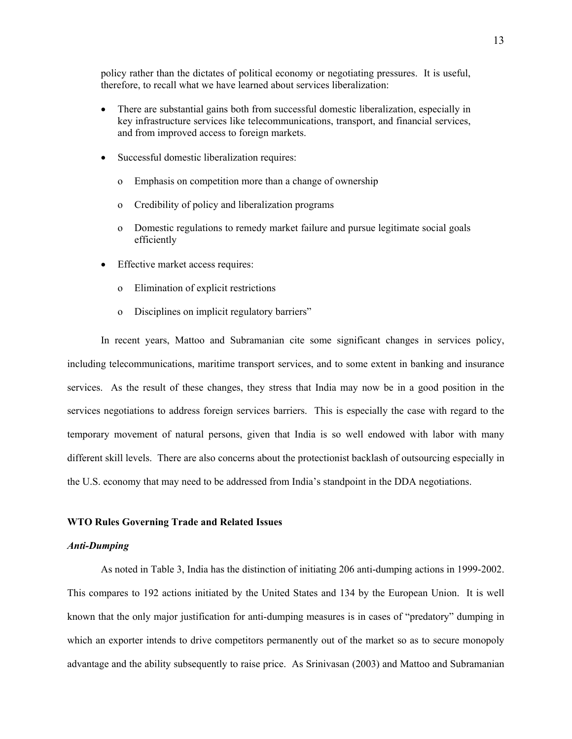policy rather than the dictates of political economy or negotiating pressures. It is useful, therefore, to recall what we have learned about services liberalization:

- There are substantial gains both from successful domestic liberalization, especially in key infrastructure services like telecommunications, transport, and financial services, and from improved access to foreign markets.
- Successful domestic liberalization requires:
	- o Emphasis on competition more than a change of ownership
	- o Credibility of policy and liberalization programs
	- o Domestic regulations to remedy market failure and pursue legitimate social goals efficiently
- Effective market access requires:
	- o Elimination of explicit restrictions
	- o Disciplines on implicit regulatory barriers"

In recent years, Mattoo and Subramanian cite some significant changes in services policy, including telecommunications, maritime transport services, and to some extent in banking and insurance services. As the result of these changes, they stress that India may now be in a good position in the services negotiations to address foreign services barriers. This is especially the case with regard to the temporary movement of natural persons, given that India is so well endowed with labor with many different skill levels. There are also concerns about the protectionist backlash of outsourcing especially in the U.S. economy that may need to be addressed from India's standpoint in the DDA negotiations.

### **WTO Rules Governing Trade and Related Issues**

#### *Anti-Dumping*

 As noted in Table 3, India has the distinction of initiating 206 anti-dumping actions in 1999-2002. This compares to 192 actions initiated by the United States and 134 by the European Union. It is well known that the only major justification for anti-dumping measures is in cases of "predatory" dumping in which an exporter intends to drive competitors permanently out of the market so as to secure monopoly advantage and the ability subsequently to raise price. As Srinivasan (2003) and Mattoo and Subramanian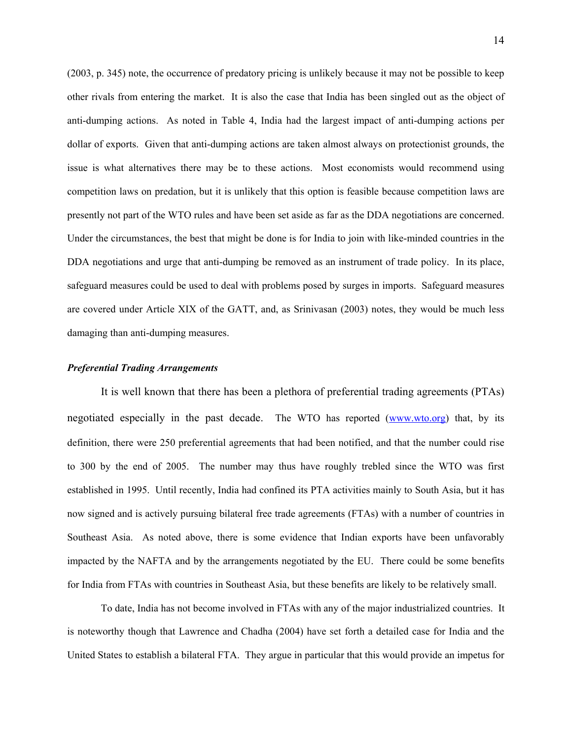(2003, p. 345) note, the occurrence of predatory pricing is unlikely because it may not be possible to keep other rivals from entering the market. It is also the case that India has been singled out as the object of anti-dumping actions. As noted in Table 4, India had the largest impact of anti-dumping actions per dollar of exports. Given that anti-dumping actions are taken almost always on protectionist grounds, the issue is what alternatives there may be to these actions. Most economists would recommend using competition laws on predation, but it is unlikely that this option is feasible because competition laws are presently not part of the WTO rules and have been set aside as far as the DDA negotiations are concerned. Under the circumstances, the best that might be done is for India to join with like-minded countries in the DDA negotiations and urge that anti-dumping be removed as an instrument of trade policy. In its place, safeguard measures could be used to deal with problems posed by surges in imports. Safeguard measures are covered under Article XIX of the GATT, and, as Srinivasan (2003) notes, they would be much less damaging than anti-dumping measures.

#### *Preferential Trading Arrangements*

 It is well known that there has been a plethora of preferential trading agreements (PTAs) negotiated especially in the past decade. The WTO has reported (www.wto.org) that, by its definition, there were 250 preferential agreements that had been notified, and that the number could rise to 300 by the end of 2005. The number may thus have roughly trebled since the WTO was first established in 1995. Until recently, India had confined its PTA activities mainly to South Asia, but it has now signed and is actively pursuing bilateral free trade agreements (FTAs) with a number of countries in Southeast Asia. As noted above, there is some evidence that Indian exports have been unfavorably impacted by the NAFTA and by the arrangements negotiated by the EU. There could be some benefits for India from FTAs with countries in Southeast Asia, but these benefits are likely to be relatively small.

To date, India has not become involved in FTAs with any of the major industrialized countries. It is noteworthy though that Lawrence and Chadha (2004) have set forth a detailed case for India and the United States to establish a bilateral FTA. They argue in particular that this would provide an impetus for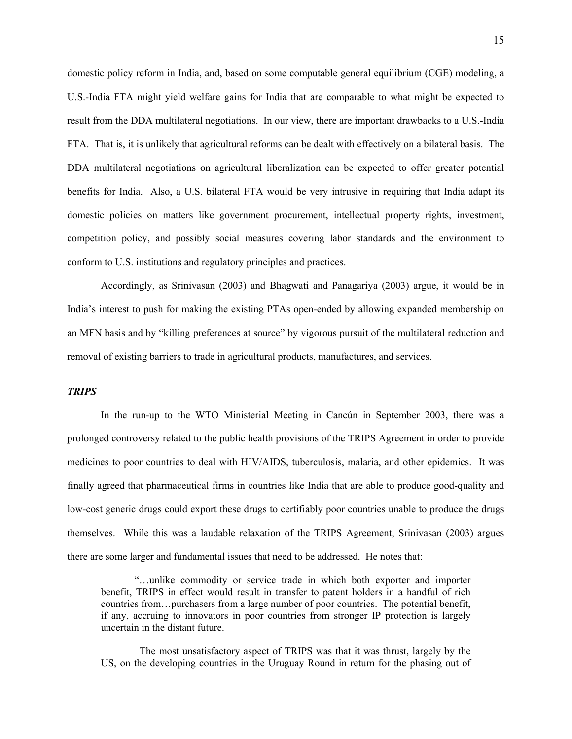domestic policy reform in India, and, based on some computable general equilibrium (CGE) modeling, a U.S.-India FTA might yield welfare gains for India that are comparable to what might be expected to result from the DDA multilateral negotiations. In our view, there are important drawbacks to a U.S.-India FTA. That is, it is unlikely that agricultural reforms can be dealt with effectively on a bilateral basis. The DDA multilateral negotiations on agricultural liberalization can be expected to offer greater potential benefits for India. Also, a U.S. bilateral FTA would be very intrusive in requiring that India adapt its domestic policies on matters like government procurement, intellectual property rights, investment, competition policy, and possibly social measures covering labor standards and the environment to conform to U.S. institutions and regulatory principles and practices.

Accordingly, as Srinivasan (2003) and Bhagwati and Panagariya (2003) argue, it would be in India's interest to push for making the existing PTAs open-ended by allowing expanded membership on an MFN basis and by "killing preferences at source" by vigorous pursuit of the multilateral reduction and removal of existing barriers to trade in agricultural products, manufactures, and services.

# *TRIPS*

In the run-up to the WTO Ministerial Meeting in Cancún in September 2003, there was a prolonged controversy related to the public health provisions of the TRIPS Agreement in order to provide medicines to poor countries to deal with HIV/AIDS, tuberculosis, malaria, and other epidemics. It was finally agreed that pharmaceutical firms in countries like India that are able to produce good-quality and low-cost generic drugs could export these drugs to certifiably poor countries unable to produce the drugs themselves. While this was a laudable relaxation of the TRIPS Agreement, Srinivasan (2003) argues there are some larger and fundamental issues that need to be addressed. He notes that:

 "…unlike commodity or service trade in which both exporter and importer benefit, TRIPS in effect would result in transfer to patent holders in a handful of rich countries from…purchasers from a large number of poor countries. The potential benefit, if any, accruing to innovators in poor countries from stronger IP protection is largely uncertain in the distant future.

 The most unsatisfactory aspect of TRIPS was that it was thrust, largely by the US, on the developing countries in the Uruguay Round in return for the phasing out of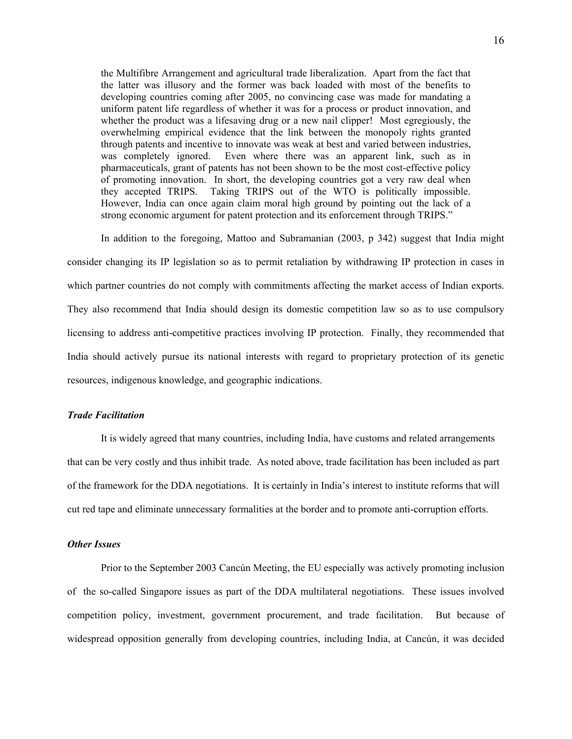the Multifibre Arrangement and agricultural trade liberalization. Apart from the fact that the latter was illusory and the former was back loaded with most of the benefits to developing countries coming after 2005, no convincing case was made for mandating a uniform patent life regardless of whether it was for a process or product innovation, and whether the product was a lifesaving drug or a new nail clipper! Most egregiously, the overwhelming empirical evidence that the link between the monopoly rights granted through patents and incentive to innovate was weak at best and varied between industries, was completely ignored. Even where there was an apparent link, such as in pharmaceuticals, grant of patents has not been shown to be the most cost-effective policy of promoting innovation. In short, the developing countries got a very raw deal when they accepted TRIPS. Taking TRIPS out of the WTO is politically impossible. However, India can once again claim moral high ground by pointing out the lack of a strong economic argument for patent protection and its enforcement through TRIPS."

 In addition to the foregoing, Mattoo and Subramanian (2003, p 342) suggest that India might consider changing its IP legislation so as to permit retaliation by withdrawing IP protection in cases in which partner countries do not comply with commitments affecting the market access of Indian exports. They also recommend that India should design its domestic competition law so as to use compulsory licensing to address anti-competitive practices involving IP protection. Finally, they recommended that India should actively pursue its national interests with regard to proprietary protection of its genetic resources, indigenous knowledge, and geographic indications.

# *Trade Facilitation*

 It is widely agreed that many countries, including India, have customs and related arrangements that can be very costly and thus inhibit trade. As noted above, trade facilitation has been included as part of the framework for the DDA negotiations. It is certainly in India's interest to institute reforms that will cut red tape and eliminate unnecessary formalities at the border and to promote anti-corruption efforts.

### *Other Issues*

 Prior to the September 2003 Cancún Meeting, the EU especially was actively promoting inclusion of the so-called Singapore issues as part of the DDA multilateral negotiations. These issues involved competition policy, investment, government procurement, and trade facilitation. But because of widespread opposition generally from developing countries, including India, at Cancún, it was decided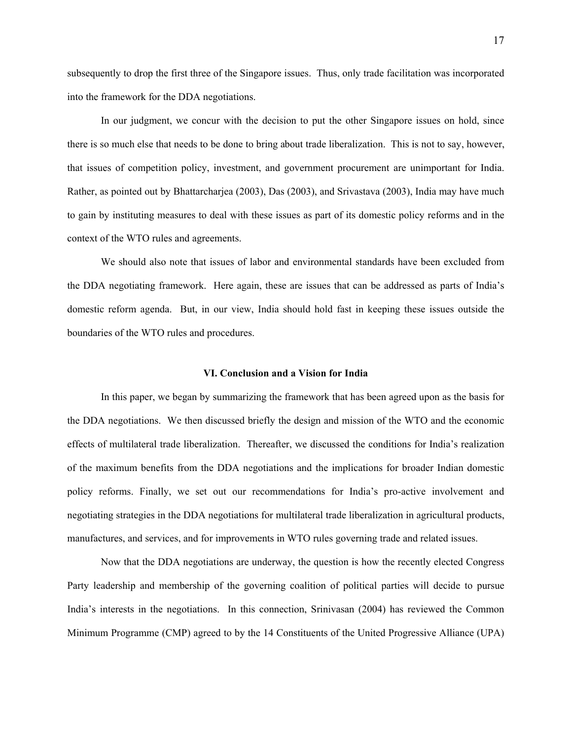subsequently to drop the first three of the Singapore issues. Thus, only trade facilitation was incorporated into the framework for the DDA negotiations.

In our judgment, we concur with the decision to put the other Singapore issues on hold, since there is so much else that needs to be done to bring about trade liberalization. This is not to say, however, that issues of competition policy, investment, and government procurement are unimportant for India. Rather, as pointed out by Bhattarcharjea (2003), Das (2003), and Srivastava (2003), India may have much to gain by instituting measures to deal with these issues as part of its domestic policy reforms and in the context of the WTO rules and agreements.

We should also note that issues of labor and environmental standards have been excluded from the DDA negotiating framework. Here again, these are issues that can be addressed as parts of India's domestic reform agenda. But, in our view, India should hold fast in keeping these issues outside the boundaries of the WTO rules and procedures.

#### **VI. Conclusion and a Vision for India**

In this paper, we began by summarizing the framework that has been agreed upon as the basis for the DDA negotiations. We then discussed briefly the design and mission of the WTO and the economic effects of multilateral trade liberalization. Thereafter, we discussed the conditions for India's realization of the maximum benefits from the DDA negotiations and the implications for broader Indian domestic policy reforms. Finally, we set out our recommendations for India's pro-active involvement and negotiating strategies in the DDA negotiations for multilateral trade liberalization in agricultural products, manufactures, and services, and for improvements in WTO rules governing trade and related issues.

Now that the DDA negotiations are underway, the question is how the recently elected Congress Party leadership and membership of the governing coalition of political parties will decide to pursue India's interests in the negotiations. In this connection, Srinivasan (2004) has reviewed the Common Minimum Programme (CMP) agreed to by the 14 Constituents of the United Progressive Alliance (UPA)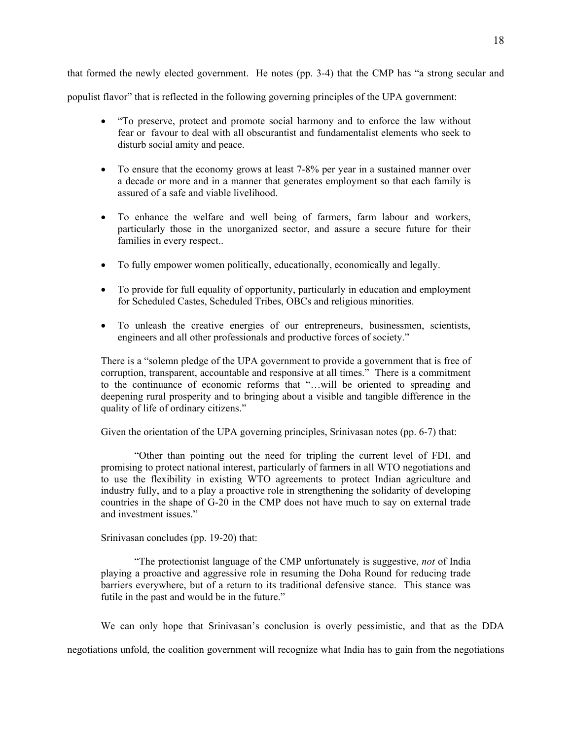that formed the newly elected government. He notes (pp. 3-4) that the CMP has "a strong secular and populist flavor" that is reflected in the following governing principles of the UPA government:

- "To preserve, protect and promote social harmony and to enforce the law without fear or favour to deal with all obscurantist and fundamentalist elements who seek to disturb social amity and peace.
- To ensure that the economy grows at least 7-8% per year in a sustained manner over a decade or more and in a manner that generates employment so that each family is assured of a safe and viable livelihood.
- To enhance the welfare and well being of farmers, farm labour and workers, particularly those in the unorganized sector, and assure a secure future for their families in every respect..
- To fully empower women politically, educationally, economically and legally.
- To provide for full equality of opportunity, particularly in education and employment for Scheduled Castes, Scheduled Tribes, OBCs and religious minorities.
- To unleash the creative energies of our entrepreneurs, businessmen, scientists, engineers and all other professionals and productive forces of society."

There is a "solemn pledge of the UPA government to provide a government that is free of corruption, transparent, accountable and responsive at all times." There is a commitment to the continuance of economic reforms that "…will be oriented to spreading and deepening rural prosperity and to bringing about a visible and tangible difference in the quality of life of ordinary citizens."

Given the orientation of the UPA governing principles, Srinivasan notes (pp. 6-7) that:

"Other than pointing out the need for tripling the current level of FDI, and promising to protect national interest, particularly of farmers in all WTO negotiations and to use the flexibility in existing WTO agreements to protect Indian agriculture and industry fully, and to a play a proactive role in strengthening the solidarity of developing countries in the shape of G-20 in the CMP does not have much to say on external trade and investment issues."

Srinivasan concludes (pp. 19-20) that:

"The protectionist language of the CMP unfortunately is suggestive, *not* of India playing a proactive and aggressive role in resuming the Doha Round for reducing trade barriers everywhere, but of a return to its traditional defensive stance. This stance was futile in the past and would be in the future."

We can only hope that Srinivasan's conclusion is overly pessimistic, and that as the DDA

negotiations unfold, the coalition government will recognize what India has to gain from the negotiations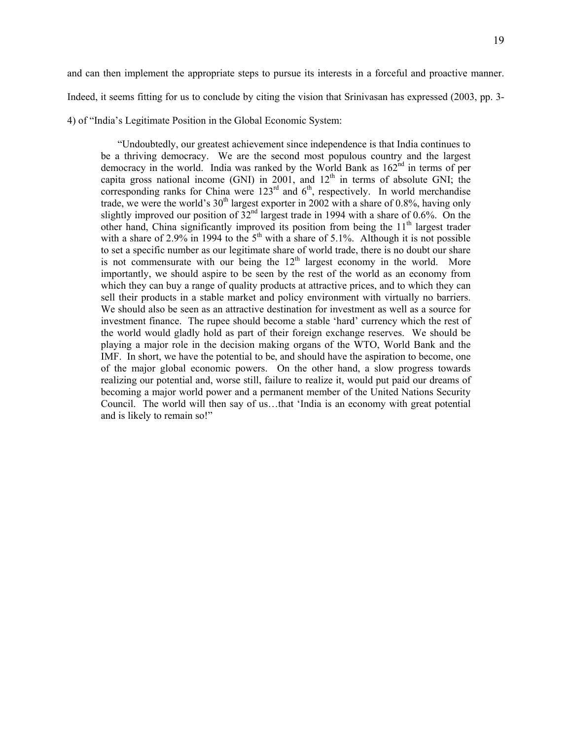and can then implement the appropriate steps to pursue its interests in a forceful and proactive manner. Indeed, it seems fitting for us to conclude by citing the vision that Srinivasan has expressed (2003, pp. 3- 4) of "India's Legitimate Position in the Global Economic System:

"Undoubtedly, our greatest achievement since independence is that India continues to be a thriving democracy. We are the second most populous country and the largest democracy in the world. India was ranked by the World Bank as 162<sup>nd</sup> in terms of per capita gross national income (GNI) in 2001, and  $12<sup>th</sup>$  in terms of absolute GNI; the corresponding ranks for China were  $123<sup>rd</sup>$  and  $6<sup>th</sup>$ , respectively. In world merchandise trade, we were the world's  $30<sup>th</sup>$  largest exporter in 2002 with a share of 0.8%, having only slightly improved our position of  $32<sup>nd</sup>$  largest trade in 1994 with a share of 0.6%. On the other hand, China significantly improved its position from being the 11<sup>th</sup> largest trader with a share of  $2.9\%$  in 1994 to the  $5<sup>th</sup>$  with a share of  $5.1\%$ . Although it is not possible to set a specific number as our legitimate share of world trade, there is no doubt our share is not commensurate with our being the  $12<sup>th</sup>$  largest economy in the world. More importantly, we should aspire to be seen by the rest of the world as an economy from which they can buy a range of quality products at attractive prices, and to which they can sell their products in a stable market and policy environment with virtually no barriers. We should also be seen as an attractive destination for investment as well as a source for investment finance. The rupee should become a stable 'hard' currency which the rest of the world would gladly hold as part of their foreign exchange reserves. We should be playing a major role in the decision making organs of the WTO, World Bank and the IMF. In short, we have the potential to be, and should have the aspiration to become, one of the major global economic powers. On the other hand, a slow progress towards realizing our potential and, worse still, failure to realize it, would put paid our dreams of becoming a major world power and a permanent member of the United Nations Security Council. The world will then say of us…that 'India is an economy with great potential and is likely to remain so!"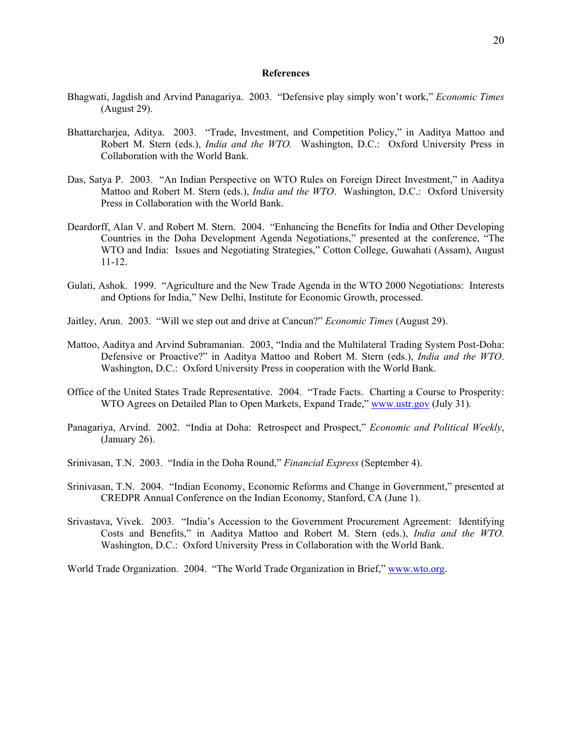#### **References**

- Bhagwati, Jagdish and Arvind Panagariya. 2003. "Defensive play simply won't work," *Economic Times*  (August 29).
- Bhattarcharjea, Aditya. 2003. "Trade, Investment, and Competition Policy," in Aaditya Mattoo and Robert M. Stern (eds.), *India and the WTO.* Washington, D.C.: Oxford University Press in Collaboration with the World Bank.
- Das, Satya P. 2003. "An Indian Perspective on WTO Rules on Foreign Direct Investment," in Aaditya Mattoo and Robert M. Stern (eds.), *India and the WTO*. Washington, D.C.: Oxford University Press in Collaboration with the World Bank.
- Deardorff, Alan V. and Robert M. Stern. 2004. "Enhancing the Benefits for India and Other Developing Countries in the Doha Development Agenda Negotiations," presented at the conference, "The WTO and India: Issues and Negotiating Strategies," Cotton College, Guwahati (Assam), August 11-12.
- Gulati, Ashok. 1999. "Agriculture and the New Trade Agenda in the WTO 2000 Negotiations: Interests and Options for India," New Delhi, Institute for Economic Growth, processed.
- Jaitley, Arun. 2003. "Will we step out and drive at Cancun?" *Economic Times* (August 29).
- Mattoo, Aaditya and Arvind Subramanian. 2003, "India and the Multilateral Trading System Post-Doha: Defensive or Proactive?" in Aaditya Mattoo and Robert M. Stern (eds.), *India and the WTO*. Washington, D.C.: Oxford University Press in cooperation with the World Bank.
- Office of the United States Trade Representative. 2004. "Trade Facts. Charting a Course to Prosperity: WTO Agrees on Detailed Plan to Open Markets, Expand Trade," [www.ustr.gov](http://www.ustr.gov/) (July 31).
- Panagariya, Arvind. 2002. "India at Doha: Retrospect and Prospect," *Economic and Political Weekly*, (January 26).
- Srinivasan, T.N. 2003. "India in the Doha Round," *Financial Express* (September 4).
- Srinivasan, T.N. 2004. "Indian Economy, Economic Reforms and Change in Government," presented at CREDPR Annual Conference on the Indian Economy, Stanford, CA (June 1).
- Srivastava, Vivek. 2003. "India's Accession to the Government Procurement Agreement: Identifying Costs and Benefits," in Aaditya Mattoo and Robert M. Stern (eds.), *India and the WTO.*  Washington, D.C.: Oxford University Press in Collaboration with the World Bank.

World Trade Organization. 2004. "The World Trade Organization in Brief," [www.wto.org](http://www.wto.org/).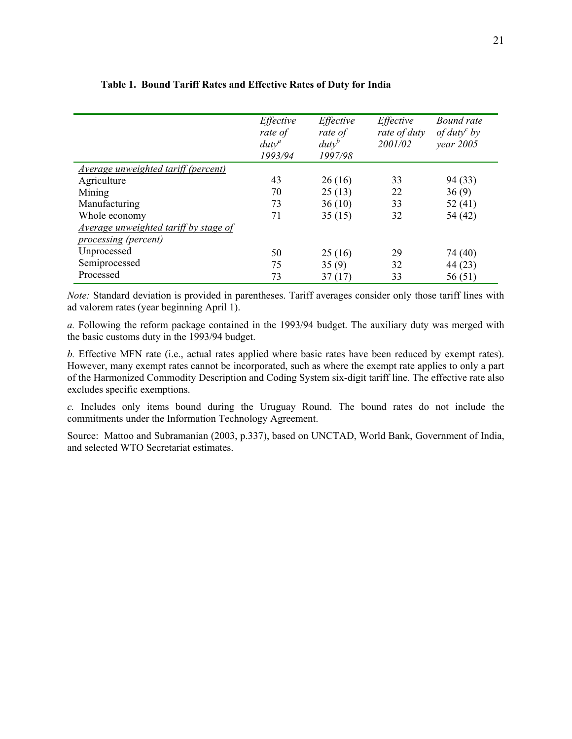|                                              | Effective<br>rate of<br>$duty^a$<br>1993/94 | Effective<br>rate of<br>$d$ uty <sup>b</sup><br>1997/98 | Effective<br>rate of duty<br>2001/02 | Bound rate<br>of duty <sup>c</sup> by<br>$year\,2005$ |
|----------------------------------------------|---------------------------------------------|---------------------------------------------------------|--------------------------------------|-------------------------------------------------------|
| <u>Average unweighted tariff (percent)</u>   |                                             |                                                         |                                      |                                                       |
| Agriculture                                  | 43                                          | 26(16)                                                  | 33                                   | 94 (33)                                               |
| Mining                                       | 70                                          | 25(13)                                                  | 22                                   | 36(9)                                                 |
| Manufacturing                                | 73                                          | 36(10)                                                  | 33                                   | 52(41)                                                |
| Whole economy                                | 71                                          | 35(15)                                                  | 32                                   | 54 (42)                                               |
| <i>Average unweighted tariff by stage of</i> |                                             |                                                         |                                      |                                                       |
| <i>processing (percent)</i>                  |                                             |                                                         |                                      |                                                       |
| Unprocessed                                  | 50                                          | 25(16)                                                  | 29                                   | 74 (40)                                               |
| Semiprocessed                                | 75                                          | 35(9)                                                   | 32                                   | 44 (23)                                               |
| Processed                                    | 73                                          | 37(17)                                                  | 33                                   | 56(51)                                                |

# **Table 1. Bound Tariff Rates and Effective Rates of Duty for India**

*Note:* Standard deviation is provided in parentheses. Tariff averages consider only those tariff lines with ad valorem rates (year beginning April 1).

*a.* Following the reform package contained in the 1993/94 budget. The auxiliary duty was merged with the basic customs duty in the 1993/94 budget.

*b.* Effective MFN rate (i.e., actual rates applied where basic rates have been reduced by exempt rates). However, many exempt rates cannot be incorporated, such as where the exempt rate applies to only a part of the Harmonized Commodity Description and Coding System six-digit tariff line. The effective rate also excludes specific exemptions.

*c.* Includes only items bound during the Uruguay Round. The bound rates do not include the commitments under the Information Technology Agreement.

Source:Mattoo and Subramanian (2003, p.337), based on UNCTAD, World Bank, Government of India, and selected WTO Secretariat estimates.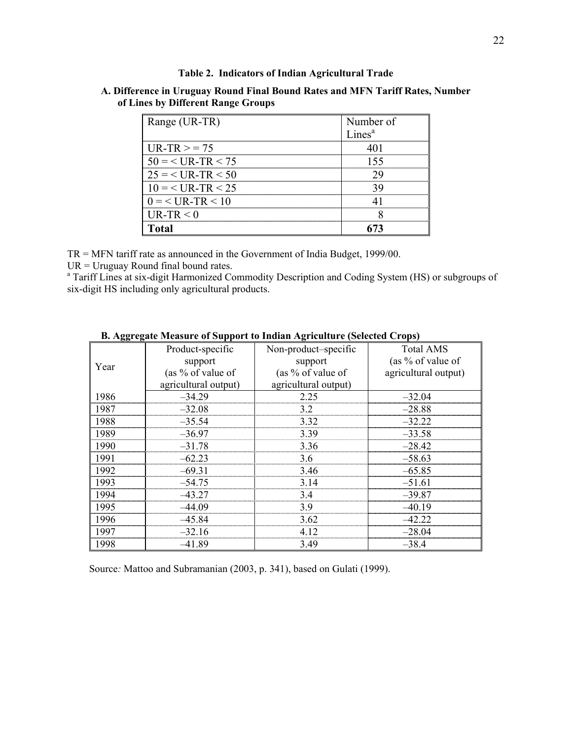### **Table 2. Indicators of Indian Agricultural Trade**

# **A. Difference in Uruguay Round Final Bound Rates and MFN Tariff Rates, Number of Lines by Different Range Groups**

| Range (UR-TR)         | Number of          |
|-----------------------|--------------------|
|                       | Lines <sup>a</sup> |
| $IIR-TR$ > = 75       |                    |
| $50 = < UR - TR < 75$ | 155                |
| $25 = < UR - TR < 50$ |                    |
| $10 =$ < UR-TR < 25   |                    |
| $0 = < IIR - TR < 10$ |                    |
| $UR-TR < 0$           |                    |
| latal                 |                    |

TR = MFN tariff rate as announced in the Government of India Budget, 1999/00.

UR = Uruguay Round final bound rates.

<sup>a</sup> Tariff Lines at six-digit Harmonized Commodity Description and Coding System (HS) or subgroups of six-digit HS including only agricultural products.

| $\cdots$<br>$\cdots$ or $\sim$ appoint to<br>$\mathbf{S}$ -Kantar $\mathbf{v}$ (Selected Srops) |                      |                      |                      |  |  |
|-------------------------------------------------------------------------------------------------|----------------------|----------------------|----------------------|--|--|
| Year                                                                                            | Product-specific     | Non-product-specific | <b>Total AMS</b>     |  |  |
|                                                                                                 | support              | support              | (as $%$ of value of  |  |  |
|                                                                                                 | (as $\%$ of value of | (as $\%$ of value of | agricultural output) |  |  |
|                                                                                                 | agricultural output) | agricultural output) |                      |  |  |
| 1986                                                                                            | $-34.29$             | 2.25                 | $-32.04$             |  |  |
| 1987                                                                                            | $-32.08$             | 32                   | $-28.88$             |  |  |
| 1988                                                                                            | $-35.54$             | 3.32                 | $-32.22$             |  |  |
| 1989                                                                                            | $-36.97$             | 3.39                 | $-33.58$             |  |  |
| 1990                                                                                            | $-31.78$             | 3.36                 | $-28.42$             |  |  |
| 1991                                                                                            | $-62.23$             | 3.6                  | $-58.63$             |  |  |
| 1992                                                                                            | $-69.31$             | 3.46                 | $-65.85$             |  |  |
| 1993                                                                                            | $-54.75$             | 3.14                 | $-51.61$             |  |  |
| 1994                                                                                            | $-43.27$             | 3.4                  | $-39.87$             |  |  |
| 1995                                                                                            | $-44.09$             | 3.9                  | $-40.19$             |  |  |
| 1996                                                                                            | $-45.84$             | 3.62                 | $-42.22$             |  |  |
| 1997                                                                                            | $-32.16$             | 4.12                 | $-28.04$             |  |  |
| 1998                                                                                            | $-41.89$             | 3.49                 | $-38.4$              |  |  |

# **B. Aggregate Measure of Support to Indian Agriculture (Selected Crops)**

Source*:* Mattoo and Subramanian (2003, p. 341), based on Gulati (1999).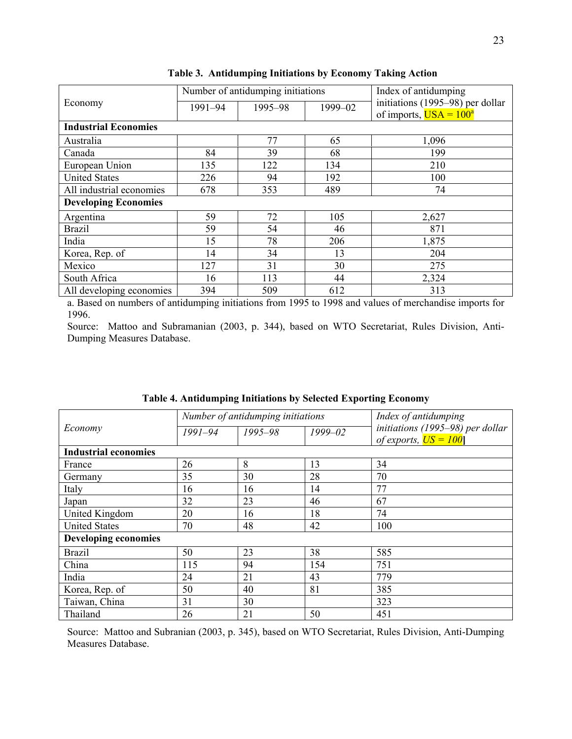|                             | Number of antidumping initiations |         |         | Index of antidumping                                                           |
|-----------------------------|-----------------------------------|---------|---------|--------------------------------------------------------------------------------|
| Economy                     | 1991-94                           | 1995-98 | 1999-02 | initiations (1995–98) per dollar<br>of imports, $\overline{USA} = 100^{\circ}$ |
| <b>Industrial Economies</b> |                                   |         |         |                                                                                |
|                             |                                   |         |         |                                                                                |
| Australia                   |                                   | 77      | 65      | 1,096                                                                          |
| Canada                      | 84                                | 39      | 68      | 199                                                                            |
| European Union              | 135                               | 122     | 134     | 210                                                                            |
| <b>United States</b>        | 226                               | 94      | 192     | 100                                                                            |
| All industrial economies    | 678                               | 353     | 489     | 74                                                                             |
| <b>Developing Economies</b> |                                   |         |         |                                                                                |
| Argentina                   | 59                                | 72      | 105     | 2,627                                                                          |
| <b>Brazil</b>               | 59                                | 54      | 46      | 871                                                                            |
| India                       | 15                                | 78      | 206     | 1,875                                                                          |
| Korea, Rep. of              | 14                                | 34      | 13      | 204                                                                            |
| Mexico                      | 127                               | 31      | 30      | 275                                                                            |
| South Africa                | 16                                | 113     | 44      | 2,324                                                                          |
| All developing economies    | 394                               | 509     | 612     | 313                                                                            |

**Table 3. Antidumping Initiations by Economy Taking Action** 

a. Based on numbers of antidumping initiations from 1995 to 1998 and values of merchandise imports for 1996.

Source: Mattoo and Subramanian (2003, p. 344), based on WTO Secretariat, Rules Division, Anti-Dumping Measures Database.

| Economy                     | Number of antidumping initiations |             |             | Index of antidumping                                                  |  |
|-----------------------------|-----------------------------------|-------------|-------------|-----------------------------------------------------------------------|--|
|                             | $1991 - 94$                       | $1995 - 98$ | $1999 - 02$ | initiations (1995-98) per dollar<br>of exports, $\overline{US} = 100$ |  |
| <b>Industrial economies</b> |                                   |             |             |                                                                       |  |
| France                      | 26                                | 8           | 13          | 34                                                                    |  |
| Germany                     | 35                                | 30          | 28          | 70                                                                    |  |
| Italy                       | 16                                | 16          | 14          | 77                                                                    |  |
| Japan                       | 32                                | 23          | 46          | 67                                                                    |  |
| United Kingdom              | 20                                | 16          | 18          | 74                                                                    |  |
| <b>United States</b>        | 70                                | 48          | 42          | 100                                                                   |  |
| <b>Developing economies</b> |                                   |             |             |                                                                       |  |
| <b>Brazil</b>               | 50                                | 23          | 38          | 585                                                                   |  |
| China                       | 115                               | 94          | 154         | 751                                                                   |  |
| India                       | 24                                | 21          | 43          | 779                                                                   |  |
| Korea, Rep. of              | 50                                | 40          | 81          | 385                                                                   |  |
| Taiwan, China               | 31                                | 30          |             | 323                                                                   |  |
| Thailand                    | 26                                | 21          | 50          | 451                                                                   |  |

**Table 4. Antidumping Initiations by Selected Exporting Economy** 

Source: Mattoo and Subranian (2003, p. 345), based on WTO Secretariat, Rules Division, Anti-Dumping Measures Database.